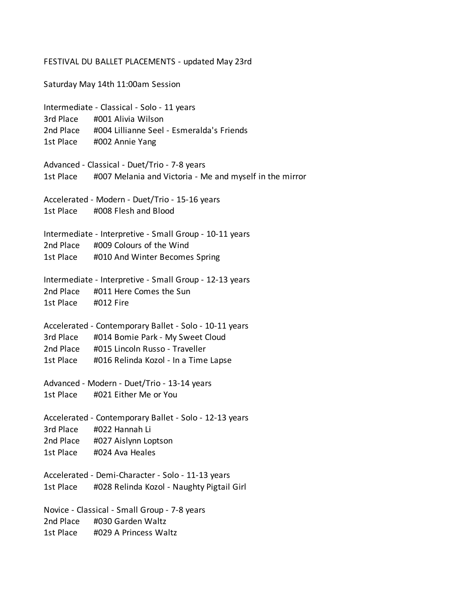## FESTIVAL DU BALLET PLACEMENTS - updated May 23rd

Saturday May 14th 11:00am Session Intermediate - Classical - Solo - 11 years 3rd Place #001 Alivia Wilson 2nd Place #004 Lillianne Seel - Esmeralda's Friends 1st Place #002 Annie Yang Advanced - Classical - Duet/Trio - 7-8 years 1st Place #007 Melania and Victoria - Me and myself in the mirror Accelerated - Modern - Duet/Trio - 15-16 years 1st Place #008 Flesh and Blood Intermediate - Interpretive - Small Group - 10-11 years 2nd Place #009 Colours of the Wind 1st Place #010 And Winter Becomes Spring Intermediate - Interpretive - Small Group - 12-13 years 2nd Place #011 Here Comes the Sun 1st Place #012 Fire Accelerated - Contemporary Ballet - Solo - 10-11 years 3rd Place #014 Bomie Park - My Sweet Cloud 2nd Place #015 Lincoln Russo - Traveller 1st Place #016 Relinda Kozol - In a Time Lapse Advanced - Modern - Duet/Trio - 13-14 years 1st Place #021 Either Me or You Accelerated - Contemporary Ballet - Solo - 12-13 years 3rd Place #022 Hannah Li 2nd Place #027 Aislynn Loptson 1st Place #024 Ava Heales Accelerated - Demi-Character - Solo - 11-13 years 1st Place #028 Relinda Kozol - Naughty Pigtail Girl Novice - Classical - Small Group - 7-8 years 2nd Place #030 Garden Waltz 1st Place #029 A Princess Waltz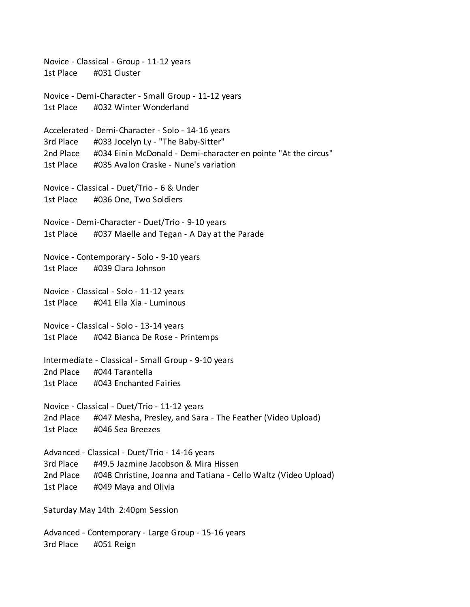Novice - Classical - Group - 11-12 years 1st Place #031 Cluster Novice - Demi-Character - Small Group - 11-12 years 1st Place #032 Winter Wonderland Accelerated - Demi-Character - Solo - 14-16 years 3rd Place #033 Jocelyn Ly - "The Baby-Sitter" 2nd Place #034 Einin McDonald - Demi-character en pointe "At the circus" 1st Place #035 Avalon Craske - Nune's variation Novice - Classical - Duet/Trio - 6 & Under 1st Place #036 One, Two Soldiers Novice - Demi-Character - Duet/Trio - 9-10 years 1st Place #037 Maelle and Tegan - A Day at the Parade Novice - Contemporary - Solo - 9-10 years 1st Place #039 Clara Johnson Novice - Classical - Solo - 11-12 years 1st Place #041 Ella Xia - Luminous Novice - Classical - Solo - 13-14 years 1st Place #042 Bianca De Rose - Printemps Intermediate - Classical - Small Group - 9-10 years 2nd Place #044 Tarantella 1st Place #043 Enchanted Fairies Novice - Classical - Duet/Trio - 11-12 years 2nd Place #047 Mesha, Presley, and Sara - The Feather (Video Upload) 1st Place #046 Sea Breezes Advanced - Classical - Duet/Trio - 14-16 years 3rd Place #49.5 Jazmine Jacobson & Mira Hissen 2nd Place #048 Christine, Joanna and Tatiana - Cello Waltz (Video Upload) 1st Place #049 Maya and Olivia Saturday May 14th 2:40pm Session

Advanced - Contemporary - Large Group - 15-16 years 3rd Place #051 Reign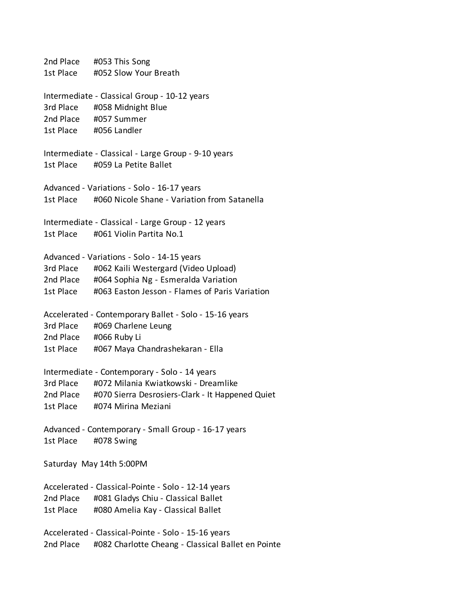2nd Place #053 This Song 1st Place #052 Slow Your Breath Intermediate - Classical Group - 10-12 years 3rd Place #058 Midnight Blue 2nd Place #057 Summer 1st Place #056 Landler Intermediate - Classical - Large Group - 9-10 years 1st Place #059 La Petite Ballet Advanced - Variations - Solo - 16-17 years 1st Place #060 Nicole Shane - Variation from Satanella Intermediate - Classical - Large Group - 12 years 1st Place #061 Violin Partita No.1 Advanced - Variations - Solo - 14-15 years 3rd Place #062 Kaili Westergard (Video Upload) 2nd Place #064 Sophia Ng - Esmeralda Variation 1st Place #063 Easton Jesson - Flames of Paris Variation Accelerated - Contemporary Ballet - Solo - 15-16 years 3rd Place #069 Charlene Leung 2nd Place #066 Ruby Li 1st Place #067 Maya Chandrashekaran - Ella Intermediate - Contemporary - Solo - 14 years 3rd Place #072 Milania Kwiatkowski - Dreamlike 2nd Place #070 Sierra Desrosiers-Clark - It Happened Quiet 1st Place #074 Mirina Meziani Advanced - Contemporary - Small Group - 16-17 years 1st Place #078 Swing Saturday May 14th 5:00PM Accelerated - Classical-Pointe - Solo - 12-14 years 2nd Place #081 Gladys Chiu - Classical Ballet 1st Place #080 Amelia Kay - Classical Ballet Accelerated - Classical-Pointe - Solo - 15-16 years 2nd Place #082 Charlotte Cheang - Classical Ballet en Pointe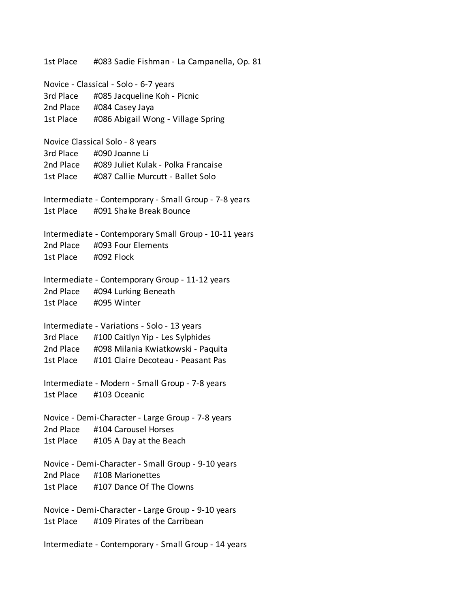1st Place #083 Sadie Fishman - La Campanella, Op. 81 Novice - Classical - Solo - 6-7 years 3rd Place #085 Jacqueline Koh - Picnic 2nd Place #084 Casey Jaya 1st Place #086 Abigail Wong - Village Spring Novice Classical Solo - 8 years 3rd Place #090 Joanne Li 2nd Place #089 Juliet Kulak - Polka Francaise 1st Place #087 Callie Murcutt - Ballet Solo Intermediate - Contemporary - Small Group - 7-8 years 1st Place #091 Shake Break Bounce Intermediate - Contemporary Small Group - 10-11 years 2nd Place #093 Four Elements 1st Place #092 Flock Intermediate - Contemporary Group - 11-12 years 2nd Place #094 Lurking Beneath 1st Place #095 Winter Intermediate - Variations - Solo - 13 years 3rd Place #100 Caitlyn Yip - Les Sylphides 2nd Place #098 Milania Kwiatkowski - Paquita 1st Place #101 Claire Decoteau - Peasant Pas Intermediate - Modern - Small Group - 7-8 years 1st Place #103 Oceanic Novice - Demi-Character - Large Group - 7-8 years 2nd Place #104 Carousel Horses 1st Place #105 A Day at the Beach Novice - Demi-Character - Small Group - 9-10 years 2nd Place #108 Marionettes 1st Place #107 Dance Of The Clowns Novice - Demi-Character - Large Group - 9-10 years 1st Place #109 Pirates of the Carribean Intermediate - Contemporary - Small Group - 14 years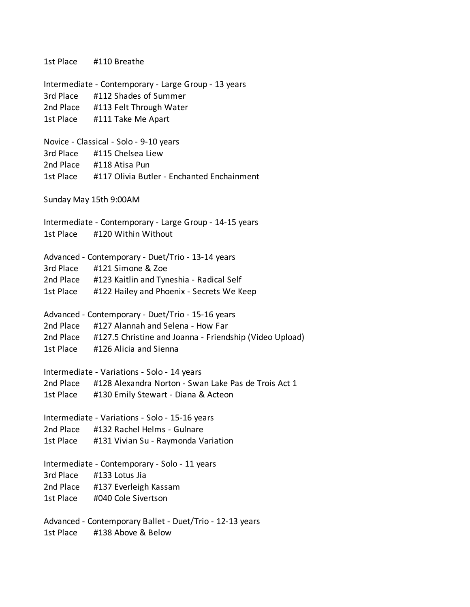1st Place #110 Breathe Intermediate - Contemporary - Large Group - 13 years 3rd Place #112 Shades of Summer 2nd Place #113 Felt Through Water 1st Place #111 Take Me Apart Novice - Classical - Solo - 9-10 years 3rd Place #115 Chelsea Liew 2nd Place #118 Atisa Pun 1st Place #117 Olivia Butler - Enchanted Enchainment Sunday May 15th 9:00AM Intermediate - Contemporary - Large Group - 14-15 years 1st Place #120 Within Without Advanced - Contemporary - Duet/Trio - 13-14 years 3rd Place #121 Simone & Zoe 2nd Place #123 Kaitlin and Tyneshia - Radical Self 1st Place #122 Hailey and Phoenix - Secrets We Keep Advanced - Contemporary - Duet/Trio - 15-16 years 2nd Place #127 Alannah and Selena - How Far 2nd Place #127.5 Christine and Joanna - Friendship (Video Upload) 1st Place #126 Alicia and Sienna Intermediate - Variations - Solo - 14 years 2nd Place #128 Alexandra Norton - Swan Lake Pas de Trois Act 1 1st Place #130 Emily Stewart - Diana & Acteon Intermediate - Variations - Solo - 15-16 years 2nd Place #132 Rachel Helms - Gulnare 1st Place #131 Vivian Su - Raymonda Variation Intermediate - Contemporary - Solo - 11 years 3rd Place #133 Lotus Jia 2nd Place #137 Everleigh Kassam 1st Place #040 Cole Sivertson Advanced - Contemporary Ballet - Duet/Trio - 12-13 years 1st Place #138 Above & Below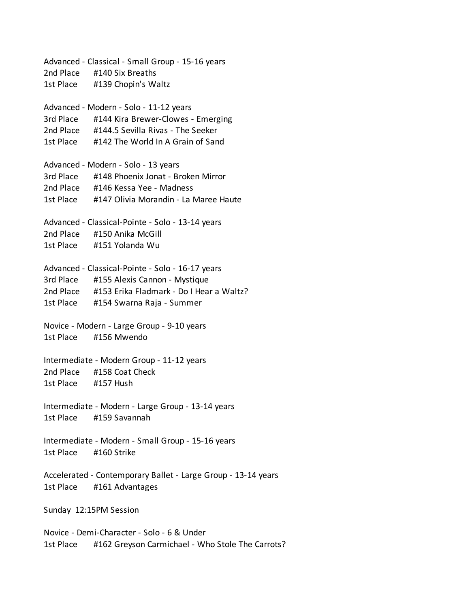Advanced - Classical - Small Group - 15-16 years 2nd Place #140 Six Breaths 1st Place #139 Chopin's Waltz Advanced - Modern - Solo - 11-12 years 3rd Place #144 Kira Brewer-Clowes - Emerging 2nd Place #144.5 Sevilla Rivas - The Seeker 1st Place #142 The World In A Grain of Sand Advanced - Modern - Solo - 13 years 3rd Place #148 Phoenix Jonat - Broken Mirror 2nd Place #146 Kessa Yee - Madness 1st Place #147 Olivia Morandin - La Maree Haute Advanced - Classical-Pointe - Solo - 13-14 years 2nd Place #150 Anika McGill 1st Place #151 Yolanda Wu Advanced - Classical-Pointe - Solo - 16-17 years 3rd Place #155 Alexis Cannon - Mystique 2nd Place #153 Erika Fladmark - Do I Hear a Waltz? 1st Place #154 Swarna Raja - Summer Novice - Modern - Large Group - 9-10 years 1st Place #156 Mwendo Intermediate - Modern Group - 11-12 years 2nd Place #158 Coat Check 1st Place #157 Hush Intermediate - Modern - Large Group - 13-14 years 1st Place #159 Savannah Intermediate - Modern - Small Group - 15-16 years 1st Place #160 Strike Accelerated - Contemporary Ballet - Large Group - 13-14 years 1st Place #161 Advantages Sunday 12:15PM Session Novice - Demi-Character - Solo - 6 & Under 1st Place #162 Greyson Carmichael - Who Stole The Carrots?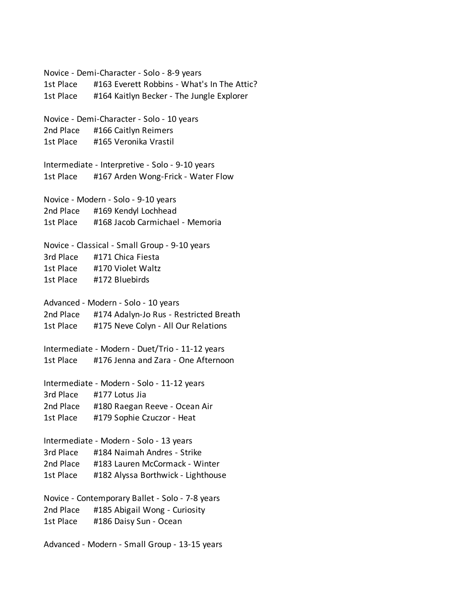Novice - Demi-Character - Solo - 8-9 years 1st Place #163 Everett Robbins - What's In The Attic? 1st Place #164 Kaitlyn Becker - The Jungle Explorer Novice - Demi-Character - Solo - 10 years 2nd Place #166 Caitlyn Reimers 1st Place #165 Veronika Vrastil Intermediate - Interpretive - Solo - 9-10 years 1st Place #167 Arden Wong-Frick - Water Flow Novice - Modern - Solo - 9-10 years 2nd Place #169 Kendyl Lochhead 1st Place #168 Jacob Carmichael - Memoria Novice - Classical - Small Group - 9-10 years 3rd Place #171 Chica Fiesta 1st Place #170 Violet Waltz 1st Place #172 Bluebirds Advanced - Modern - Solo - 10 years 2nd Place #174 Adalyn-Jo Rus - Restricted Breath 1st Place #175 Neve Colyn - All Our Relations Intermediate - Modern - Duet/Trio - 11-12 years 1st Place #176 Jenna and Zara - One Afternoon Intermediate - Modern - Solo - 11-12 years 3rd Place #177 Lotus Jia 2nd Place #180 Raegan Reeve - Ocean Air 1st Place #179 Sophie Czuczor - Heat Intermediate - Modern - Solo - 13 years 3rd Place #184 Naimah Andres - Strike 2nd Place #183 Lauren McCormack - Winter 1st Place #182 Alyssa Borthwick - Lighthouse Novice - Contemporary Ballet - Solo - 7-8 years 2nd Place #185 Abigail Wong - Curiosity 1st Place #186 Daisy Sun - Ocean Advanced - Modern - Small Group - 13-15 years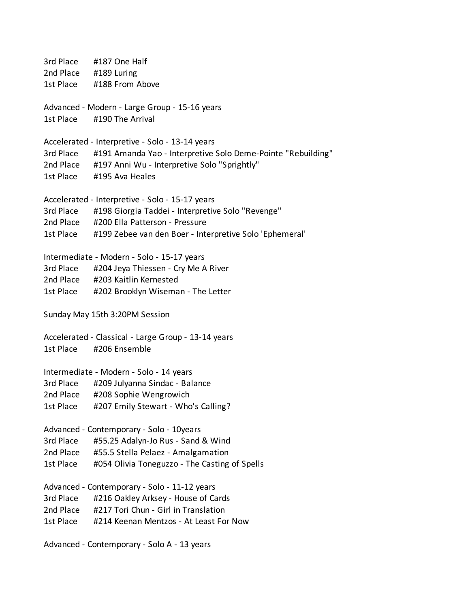3rd Place #187 One Half 2nd Place #189 Luring 1st Place #188 From Above Advanced - Modern - Large Group - 15-16 years 1st Place #190 The Arrival Accelerated - Interpretive - Solo - 13-14 years 3rd Place #191 Amanda Yao - Interpretive Solo Deme-Pointe "Rebuilding" 2nd Place #197 Anni Wu - Interpretive Solo "Sprightly" 1st Place #195 Ava Heales Accelerated - Interpretive - Solo - 15-17 years 3rd Place #198 Giorgia Taddei - Interpretive Solo "Revenge" 2nd Place #200 Ella Patterson - Pressure 1st Place #199 Zebee van den Boer - Interpretive Solo 'Ephemeral' Intermediate - Modern - Solo - 15-17 years 3rd Place #204 Jeya Thiessen - Cry Me A River 2nd Place #203 Kaitlin Kernested 1st Place #202 Brooklyn Wiseman - The Letter Sunday May 15th 3:20PM Session Accelerated - Classical - Large Group - 13-14 years 1st Place #206 Ensemble Intermediate - Modern - Solo - 14 years 3rd Place #209 Julyanna Sindac - Balance 2nd Place #208 Sophie Wengrowich 1st Place #207 Emily Stewart - Who's Calling? Advanced - Contemporary - Solo - 10years 3rd Place #55.25 Adalyn-Jo Rus - Sand & Wind 2nd Place #55.5 Stella Pelaez - Amalgamation 1st Place #054 Olivia Toneguzzo - The Casting of Spells Advanced - Contemporary - Solo - 11-12 years 3rd Place #216 Oakley Arksey - House of Cards 2nd Place #217 Tori Chun - Girl in Translation 1st Place #214 Keenan Mentzos - At Least For Now Advanced - Contemporary - Solo A - 13 years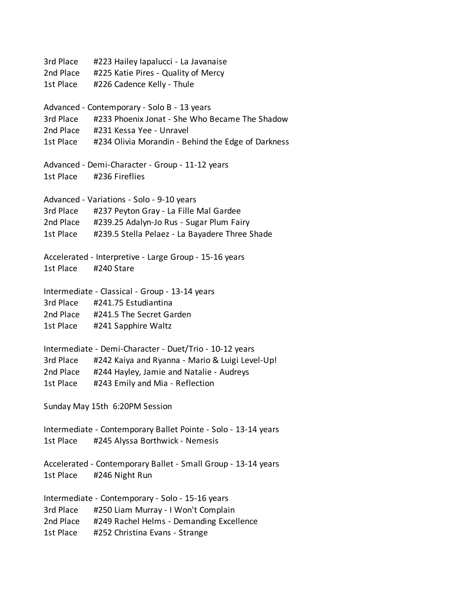3rd Place #223 Hailey Iapalucci - La Javanaise 2nd Place #225 Katie Pires - Quality of Mercy 1st Place #226 Cadence Kelly - Thule Advanced - Contemporary - Solo B - 13 years 3rd Place #233 Phoenix Jonat - She Who Became The Shadow 2nd Place #231 Kessa Yee - Unravel 1st Place #234 Olivia Morandin - Behind the Edge of Darkness Advanced - Demi-Character - Group - 11-12 years 1st Place #236 Fireflies Advanced - Variations - Solo - 9-10 years 3rd Place #237 Peyton Gray - La Fille Mal Gardee 2nd Place #239.25 Adalyn-Jo Rus - Sugar Plum Fairy 1st Place #239.5 Stella Pelaez - La Bayadere Three Shade Accelerated - Interpretive - Large Group - 15-16 years 1st Place #240 Stare Intermediate - Classical - Group - 13-14 years 3rd Place #241.75 Estudiantina 2nd Place #241.5 The Secret Garden 1st Place #241 Sapphire Waltz Intermediate - Demi-Character - Duet/Trio - 10-12 years 3rd Place #242 Kaiya and Ryanna - Mario & Luigi Level-Up! 2nd Place #244 Hayley, Jamie and Natalie - Audreys 1st Place #243 Emily and Mia - Reflection Sunday May 15th 6:20PM Session Intermediate - Contemporary Ballet Pointe - Solo - 13-14 years 1st Place #245 Alyssa Borthwick - Nemesis Accelerated - Contemporary Ballet - Small Group - 13-14 years 1st Place #246 Night Run Intermediate - Contemporary - Solo - 15-16 years 3rd Place #250 Liam Murray - I Won't Complain 2nd Place #249 Rachel Helms - Demanding Excellence 1st Place #252 Christina Evans - Strange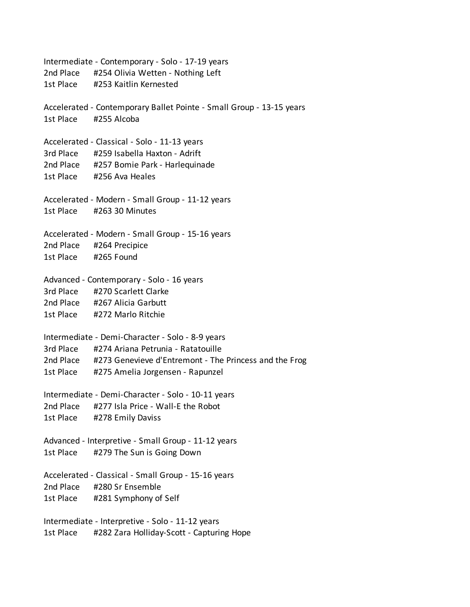Intermediate - Contemporary - Solo - 17-19 years 2nd Place #254 Olivia Wetten - Nothing Left 1st Place #253 Kaitlin Kernested Accelerated - Contemporary Ballet Pointe - Small Group - 13-15 years 1st Place #255 Alcoba Accelerated - Classical - Solo - 11-13 years 3rd Place #259 Isabella Haxton - Adrift 2nd Place #257 Bomie Park - Harlequinade 1st Place #256 Ava Heales Accelerated - Modern - Small Group - 11-12 years 1st Place #263 30 Minutes Accelerated - Modern - Small Group - 15-16 years 2nd Place #264 Precipice 1st Place #265 Found Advanced - Contemporary - Solo - 16 years 3rd Place #270 Scarlett Clarke 2nd Place #267 Alicia Garbutt 1st Place #272 Marlo Ritchie Intermediate - Demi-Character - Solo - 8-9 years 3rd Place #274 Ariana Petrunia - Ratatouille 2nd Place #273 Genevieve d'Entremont - The Princess and the Frog 1st Place #275 Amelia Jorgensen - Rapunzel Intermediate - Demi-Character - Solo - 10-11 years 2nd Place #277 Isla Price - Wall-E the Robot 1st Place #278 Emily Daviss Advanced - Interpretive - Small Group - 11-12 years 1st Place #279 The Sun is Going Down Accelerated - Classical - Small Group - 15-16 years 2nd Place #280 Sr Ensemble 1st Place #281 Symphony of Self Intermediate - Interpretive - Solo - 11-12 years 1st Place #282 Zara Holliday-Scott - Capturing Hope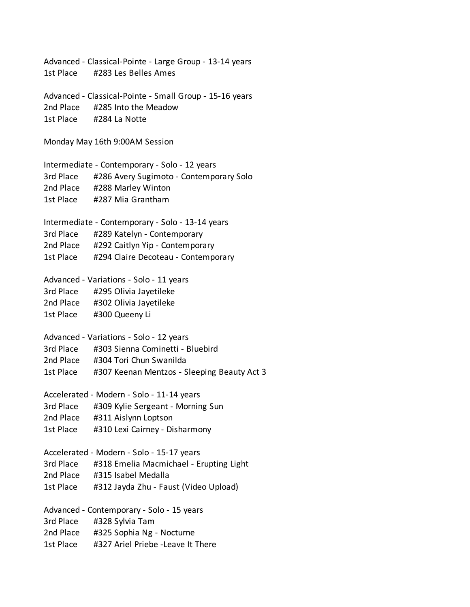Advanced - Classical-Pointe - Large Group - 13-14 years 1st Place #283 Les Belles Ames Advanced - Classical-Pointe - Small Group - 15-16 years 2nd Place #285 Into the Meadow 1st Place #284 La Notte Monday May 16th 9:00AM Session Intermediate - Contemporary - Solo - 12 years 3rd Place #286 Avery Sugimoto - Contemporary Solo 2nd Place #288 Marley Winton 1st Place #287 Mia Grantham Intermediate - Contemporary - Solo - 13-14 years 3rd Place #289 Katelyn - Contemporary 2nd Place #292 Caitlyn Yip - Contemporary 1st Place #294 Claire Decoteau - Contemporary Advanced - Variations - Solo - 11 years 3rd Place #295 Olivia Jayetileke 2nd Place #302 Olivia Jayetileke 1st Place #300 Queeny Li Advanced - Variations - Solo - 12 years 3rd Place #303 Sienna Cominetti - Bluebird 2nd Place #304 Tori Chun Swanilda 1st Place #307 Keenan Mentzos - Sleeping Beauty Act 3 Accelerated - Modern - Solo - 11-14 years 3rd Place #309 Kylie Sergeant - Morning Sun 2nd Place #311 Aislynn Loptson 1st Place #310 Lexi Cairney - Disharmony Accelerated - Modern - Solo - 15-17 years 3rd Place #318 Emelia Macmichael - Erupting Light 2nd Place #315 Isabel Medalla 1st Place #312 Jayda Zhu - Faust (Video Upload) Advanced - Contemporary - Solo - 15 years 3rd Place #328 Sylvia Tam 2nd Place #325 Sophia Ng - Nocturne 1st Place #327 Ariel Priebe -Leave It There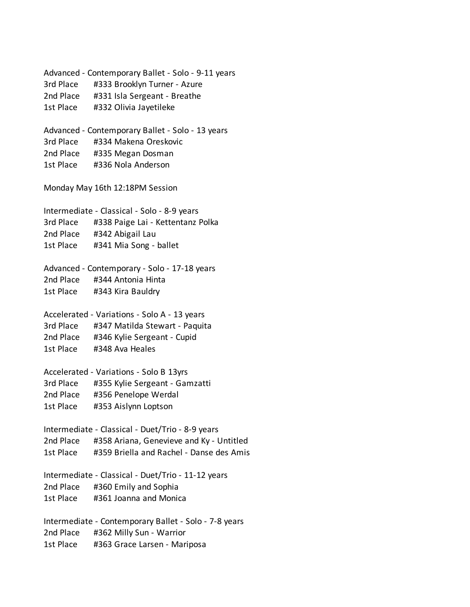Advanced - Contemporary Ballet - Solo - 9-11 years 3rd Place #333 Brooklyn Turner - Azure 2nd Place #331 Isla Sergeant - Breathe 1st Place #332 Olivia Jayetileke Advanced - Contemporary Ballet - Solo - 13 years 3rd Place #334 Makena Oreskovic 2nd Place #335 Megan Dosman 1st Place #336 Nola Anderson Monday May 16th 12:18PM Session Intermediate - Classical - Solo - 8-9 years 3rd Place #338 Paige Lai - Kettentanz Polka 2nd Place #342 Abigail Lau 1st Place #341 Mia Song - ballet Advanced - Contemporary - Solo - 17-18 years 2nd Place #344 Antonia Hinta 1st Place #343 Kira Bauldry Accelerated - Variations - Solo A - 13 years 3rd Place #347 Matilda Stewart - Paquita 2nd Place #346 Kylie Sergeant - Cupid 1st Place #348 Ava Heales Accelerated - Variations - Solo B 13yrs 3rd Place #355 Kylie Sergeant - Gamzatti 2nd Place #356 Penelope Werdal 1st Place #353 Aislynn Loptson Intermediate - Classical - Duet/Trio - 8-9 years 2nd Place #358 Ariana, Genevieve and Ky - Untitled 1st Place #359 Briella and Rachel - Danse des Amis Intermediate - Classical - Duet/Trio - 11-12 years 2nd Place #360 Emily and Sophia 1st Place #361 Joanna and Monica Intermediate - Contemporary Ballet - Solo - 7-8 years 2nd Place #362 Milly Sun - Warrior 1st Place #363 Grace Larsen - Mariposa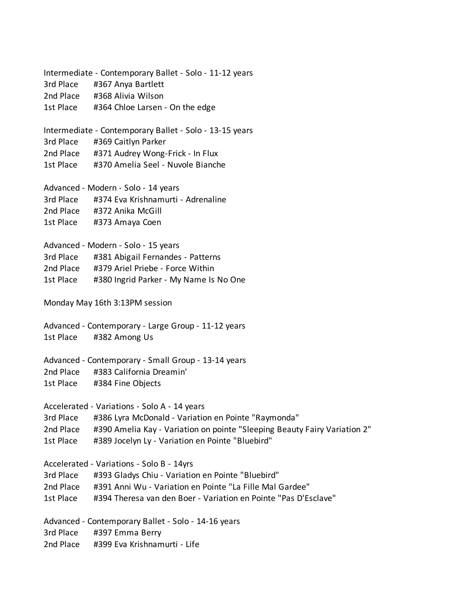Intermediate - Contemporary Ballet - Solo - 11-12 years 3rd Place #367 Anya Bartlett 2nd Place #368 Alivia Wilson 1st Place #364 Chloe Larsen - On the edge Intermediate - Contemporary Ballet - Solo - 13-15 years 3rd Place #369 Caitlyn Parker 2nd Place #371 Audrey Wong-Frick - In Flux 1st Place #370 Amelia Seel - Nuvole Bianche Advanced - Modern - Solo - 14 years 3rd Place #374 Eva Krishnamurti - Adrenaline 2nd Place #372 Anika McGill 1st Place #373 Amaya Coen Advanced - Modern - Solo - 15 years 3rd Place #381 Abigail Fernandes - Patterns 2nd Place #379 Ariel Priebe - Force Within 1st Place #380 Ingrid Parker - My Name Is No One Monday May 16th 3:13PM session Advanced - Contemporary - Large Group - 11-12 years 1st Place #382 Among Us Advanced - Contemporary - Small Group - 13-14 years 2nd Place #383 California Dreamin' 1st Place #384 Fine Objects Accelerated - Variations - Solo A - 14 years 3rd Place #386 Lyra McDonald - Variation en Pointe "Raymonda" 2nd Place #390 Amelia Kay - Variation on pointe "Sleeping Beauty Fairy Variation 2" 1st Place #389 Jocelyn Ly - Variation en Pointe "Bluebird" Accelerated - Variations - Solo B - 14yrs 3rd Place #393 Gladys Chiu - Variation en Pointe "Bluebird" 2nd Place #391 Anni Wu - Variation en Pointe "La Fille Mal Gardee" 1st Place #394 Theresa van den Boer - Variation en Pointe "Pas D'Esclave" Advanced - Contemporary Ballet - Solo - 14-16 years 3rd Place #397 Emma Berry 2nd Place #399 Eva Krishnamurti - Life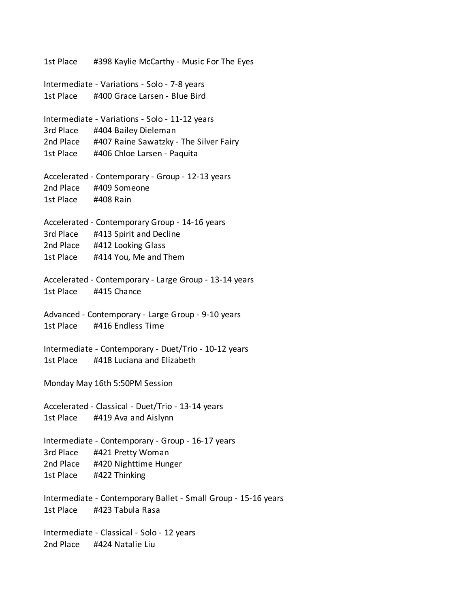1st Place #398 Kaylie McCarthy - Music For The Eyes Intermediate - Variations - Solo - 7-8 years 1st Place #400 Grace Larsen - Blue Bird Intermediate - Variations - Solo - 11-12 years 3rd Place #404 Bailey Dieleman 2nd Place #407 Raine Sawatzky - The Silver Fairy 1st Place #406 Chloe Larsen - Paquita Accelerated - Contemporary - Group - 12-13 years 2nd Place #409 Someone 1st Place #408 Rain Accelerated - Contemporary Group - 14-16 years 3rd Place #413 Spirit and Decline 2nd Place #412 Looking Glass 1st Place #414 You, Me and Them Accelerated - Contemporary - Large Group - 13-14 years 1st Place #415 Chance Advanced - Contemporary - Large Group - 9-10 years 1st Place #416 Endless Time Intermediate - Contemporary - Duet/Trio - 10-12 years 1st Place #418 Luciana and Elizabeth Monday May 16th 5:50PM Session Accelerated - Classical - Duet/Trio - 13-14 years 1st Place #419 Ava and Aislynn Intermediate - Contemporary - Group - 16-17 years 3rd Place #421 Pretty Woman 2nd Place #420 Nighttime Hunger 1st Place #422 Thinking Intermediate - Contemporary Ballet - Small Group - 15-16 years 1st Place #423 Tabula Rasa Intermediate - Classical - Solo - 12 years 2nd Place #424 Natalie Liu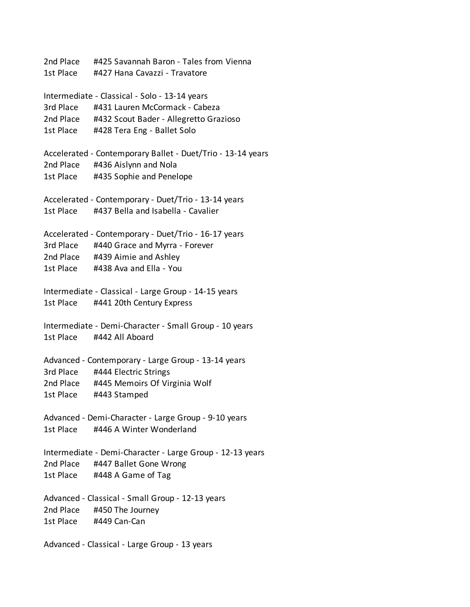2nd Place #425 Savannah Baron - Tales from Vienna 1st Place #427 Hana Cavazzi - Travatore Intermediate - Classical - Solo - 13-14 years 3rd Place #431 Lauren McCormack - Cabeza 2nd Place #432 Scout Bader - Allegretto Grazioso 1st Place #428 Tera Eng - Ballet Solo Accelerated - Contemporary Ballet - Duet/Trio - 13-14 years 2nd Place #436 Aislynn and Nola 1st Place #435 Sophie and Penelope Accelerated - Contemporary - Duet/Trio - 13-14 years 1st Place #437 Bella and Isabella - Cavalier Accelerated - Contemporary - Duet/Trio - 16-17 years 3rd Place #440 Grace and Myrra - Forever 2nd Place #439 Aimie and Ashley 1st Place #438 Ava and Ella - You Intermediate - Classical - Large Group - 14-15 years 1st Place #441 20th Century Express Intermediate - Demi-Character - Small Group - 10 years 1st Place #442 All Aboard Advanced - Contemporary - Large Group - 13-14 years 3rd Place #444 Electric Strings 2nd Place #445 Memoirs Of Virginia Wolf 1st Place #443 Stamped Advanced - Demi-Character - Large Group - 9-10 years 1st Place #446 A Winter Wonderland Intermediate - Demi-Character - Large Group - 12-13 years 2nd Place #447 Ballet Gone Wrong 1st Place #448 A Game of Tag Advanced - Classical - Small Group - 12-13 years 2nd Place #450 The Journey 1st Place #449 Can-Can Advanced - Classical - Large Group - 13 years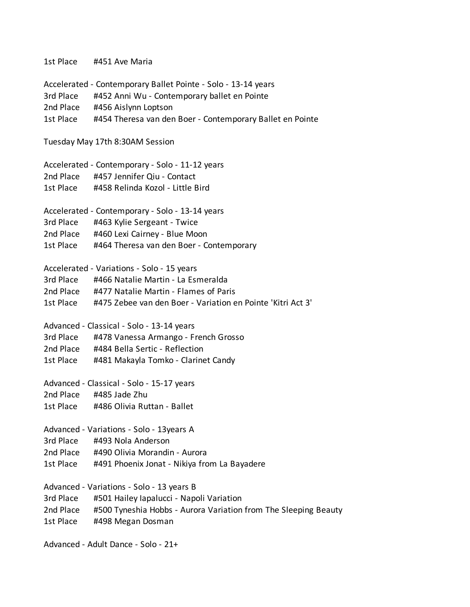1st Place #451 Ave Maria Accelerated - Contemporary Ballet Pointe - Solo - 13-14 years 3rd Place #452 Anni Wu - Contemporary ballet en Pointe 2nd Place #456 Aislynn Loptson 1st Place #454 Theresa van den Boer - Contemporary Ballet en Pointe Tuesday May 17th 8:30AM Session Accelerated - Contemporary - Solo - 11-12 years 2nd Place #457 Jennifer Qiu - Contact 1st Place #458 Relinda Kozol - Little Bird Accelerated - Contemporary - Solo - 13-14 years 3rd Place #463 Kylie Sergeant - Twice 2nd Place #460 Lexi Cairney - Blue Moon 1st Place #464 Theresa van den Boer - Contemporary Accelerated - Variations - Solo - 15 years 3rd Place #466 Natalie Martin - La Esmeralda 2nd Place #477 Natalie Martin - Flames of Paris 1st Place #475 Zebee van den Boer - Variation en Pointe 'Kitri Act 3' Advanced - Classical - Solo - 13-14 years 3rd Place #478 Vanessa Armango - French Grosso 2nd Place #484 Bella Sertic - Reflection 1st Place #481 Makayla Tomko - Clarinet Candy Advanced - Classical - Solo - 15-17 years 2nd Place #485 Jade Zhu 1st Place #486 Olivia Ruttan - Ballet Advanced - Variations - Solo - 13years A 3rd Place #493 Nola Anderson 2nd Place #490 Olivia Morandin - Aurora 1st Place #491 Phoenix Jonat - Nikiya from La Bayadere Advanced - Variations - Solo - 13 years B 3rd Place #501 Hailey Iapalucci - Napoli Variation 2nd Place #500 Tyneshia Hobbs - Aurora Variation from The Sleeping Beauty 1st Place #498 Megan Dosman

Advanced - Adult Dance - Solo - 21+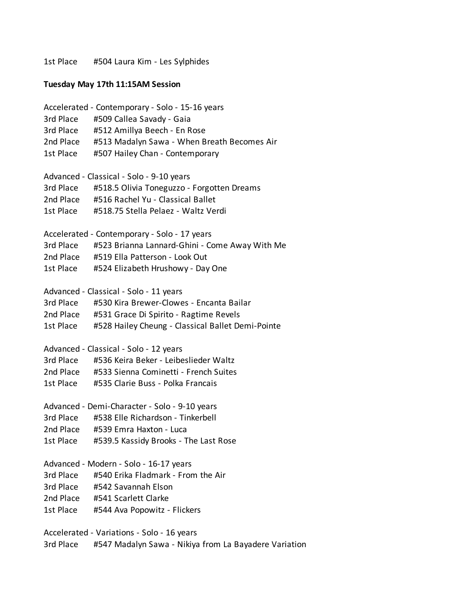1st Place #504 Laura Kim - Les Sylphides

## **Tuesday May 17th 11:15AM Session**

Accelerated - Contemporary - Solo - 15-16 years 3rd Place #509 Callea Savady - Gaia 3rd Place #512 Amillya Beech - En Rose 2nd Place #513 Madalyn Sawa - When Breath Becomes Air 1st Place #507 Hailey Chan - Contemporary Advanced - Classical - Solo - 9-10 years 3rd Place #518.5 Olivia Toneguzzo - Forgotten Dreams 2nd Place #516 Rachel Yu - Classical Ballet 1st Place #518.75 Stella Pelaez - Waltz Verdi Accelerated - Contemporary - Solo - 17 years 3rd Place #523 Brianna Lannard-Ghini - Come Away With Me 2nd Place #519 Ella Patterson - Look Out 1st Place #524 Elizabeth Hrushowy - Day One Advanced - Classical - Solo - 11 years 3rd Place #530 Kira Brewer-Clowes - Encanta Bailar 2nd Place #531 Grace Di Spirito - Ragtime Revels 1st Place #528 Hailey Cheung - Classical Ballet Demi-Pointe Advanced - Classical - Solo - 12 years 3rd Place #536 Keira Beker - Leibeslieder Waltz 2nd Place #533 Sienna Cominetti - French Suites 1st Place #535 Clarie Buss - Polka Francais Advanced - Demi-Character - Solo - 9-10 years 3rd Place #538 Elle Richardson - Tinkerbell 2nd Place #539 Emra Haxton - Luca 1st Place #539.5 Kassidy Brooks - The Last Rose Advanced - Modern - Solo - 16-17 years 3rd Place #540 Erika Fladmark - From the Air 3rd Place #542 Savannah Elson 2nd Place #541 Scarlett Clarke 1st Place #544 Ava Popowitz - Flickers Accelerated - Variations - Solo - 16 years

3rd Place #547 Madalyn Sawa - Nikiya from La Bayadere Variation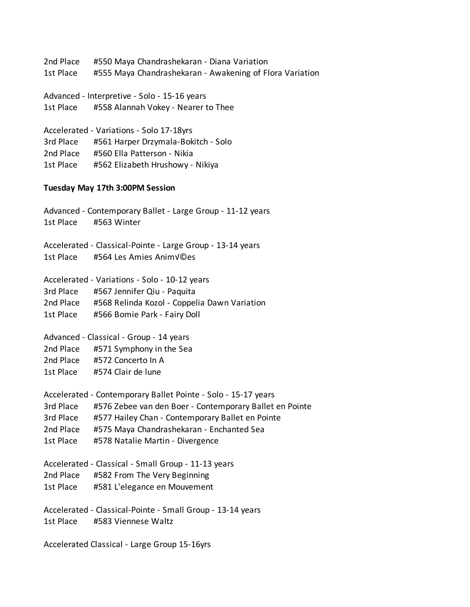2nd Place #550 Maya Chandrashekaran - Diana Variation 1st Place #555 Maya Chandrashekaran - Awakening of Flora Variation

Advanced - Interpretive - Solo - 15-16 years 1st Place #558 Alannah Vokey - Nearer to Thee

Accelerated - Variations - Solo 17-18yrs 3rd Place #561 Harper Drzymala-Bokitch - Solo 2nd Place #560 Ella Patterson - Nikia 1st Place #562 Elizabeth Hrushowy - Nikiya

## **Tuesday May 17th 3:00PM Session**

Advanced - Contemporary Ballet - Large Group - 11-12 years 1st Place #563 Winter Accelerated - Classical-Pointe - Large Group - 13-14 years 1st Place #564 Les Amies Animy©es Accelerated - Variations - Solo - 10-12 years 3rd Place #567 Jennifer Qiu - Paquita 2nd Place #568 Relinda Kozol - Coppelia Dawn Variation 1st Place #566 Bomie Park - Fairy Doll Advanced - Classical - Group - 14 years 2nd Place #571 Symphony in the Sea 2nd Place #572 Concerto In A 1st Place #574 Clair de lune Accelerated - Contemporary Ballet Pointe - Solo - 15-17 years 3rd Place #576 Zebee van den Boer - Contemporary Ballet en Pointe 3rd Place #577 Hailey Chan - Contemporary Ballet en Pointe 2nd Place #575 Maya Chandrashekaran - Enchanted Sea 1st Place #578 Natalie Martin - Divergence Accelerated - Classical - Small Group - 11-13 years 2nd Place #582 From The Very Beginning 1st Place #581 L'elegance en Mouvement Accelerated - Classical-Pointe - Small Group - 13-14 years 1st Place #583 Viennese Waltz

Accelerated Classical - Large Group 15-16yrs